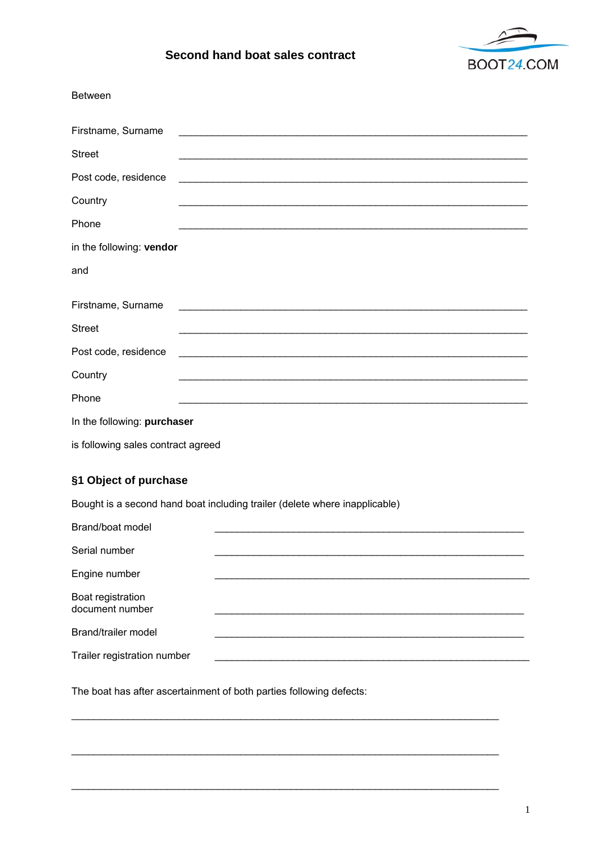

## Second hand boat sales contract

| <b>Between</b>                                                             |                                                                                                                      |  |
|----------------------------------------------------------------------------|----------------------------------------------------------------------------------------------------------------------|--|
| Firstname, Surname                                                         |                                                                                                                      |  |
| <b>Street</b>                                                              |                                                                                                                      |  |
| Post code, residence                                                       |                                                                                                                      |  |
| Country                                                                    |                                                                                                                      |  |
| Phone                                                                      |                                                                                                                      |  |
| in the following: vendor                                                   |                                                                                                                      |  |
| and                                                                        |                                                                                                                      |  |
| Firstname, Surname                                                         | <u> 1989 - Johann John Harry Harry Harry Harry Harry Harry Harry Harry Harry Harry Harry Harry Harry Harry Harry</u> |  |
| <b>Street</b>                                                              |                                                                                                                      |  |
| Post code, residence                                                       |                                                                                                                      |  |
| Country                                                                    |                                                                                                                      |  |
| Phone                                                                      |                                                                                                                      |  |
| In the following: purchaser                                                |                                                                                                                      |  |
| is following sales contract agreed                                         |                                                                                                                      |  |
| §1 Object of purchase                                                      |                                                                                                                      |  |
| Bought is a second hand boat including trailer (delete where inapplicable) |                                                                                                                      |  |
| Brand/boat model                                                           |                                                                                                                      |  |
| Serial number                                                              |                                                                                                                      |  |
| Engine number                                                              |                                                                                                                      |  |
| Boat registration<br>document number                                       |                                                                                                                      |  |
| Brand/trailer model                                                        |                                                                                                                      |  |

Trailer registration number

The boat has after ascertainment of both parties following defects: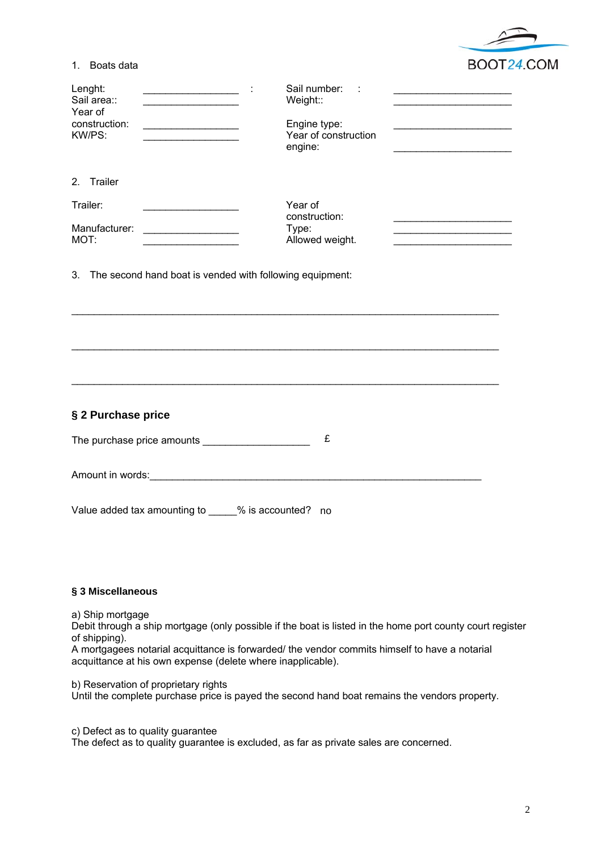

| Lenght:<br>the control of the control of the control of the control of<br>Sail area::<br>the control of the control of the control of the control of the<br>Year of<br>construction:<br>the control of the control of the control of<br>KW/PS: | Sail number:<br>the control of the control of the control of the control of the control of<br>Weight::<br>Engine type:<br>Year of construction<br>engine:                                                 |
|------------------------------------------------------------------------------------------------------------------------------------------------------------------------------------------------------------------------------------------------|-----------------------------------------------------------------------------------------------------------------------------------------------------------------------------------------------------------|
| 2. Trailer                                                                                                                                                                                                                                     |                                                                                                                                                                                                           |
| Trailer:<br><u> 1980 - Johann Barn, mars ann an t-Amhair an t-A</u><br>Manufacturer:<br>MOT:<br>the control of the control of the control of the                                                                                               | Year of<br>construction:<br>Type:<br><u> 1989 - Johann John Stone, market fransk politiker (d. 1989)</u><br>Allowed weight.<br>the control of the control of the control of the control of the control of |
| 3. The second hand boat is vended with following equipment:                                                                                                                                                                                    |                                                                                                                                                                                                           |
| § 2 Purchase price                                                                                                                                                                                                                             |                                                                                                                                                                                                           |
|                                                                                                                                                                                                                                                |                                                                                                                                                                                                           |
| The purchase price amounts _______________________                                                                                                                                                                                             | £                                                                                                                                                                                                         |
| Amount in words: <u>Amount in words:</u>                                                                                                                                                                                                       |                                                                                                                                                                                                           |
| Value added tax amounting to _____% is accounted? no                                                                                                                                                                                           |                                                                                                                                                                                                           |

## **§ 3 Miscellaneous**

a) Ship mortgage

Debit through a ship mortgage (only possible if the boat is listed in the home port county court register of shipping).

A mortgagees notarial acquittance is forwarded/ the vendor commits himself to have a notarial acquittance at his own expense (delete where inapplicable).

b) Reservation of proprietary rights

Until the complete purchase price is payed the second hand boat remains the vendors property.

c) Defect as to quality guarantee

The defect as to quality guarantee is excluded, as far as private sales are concerned.